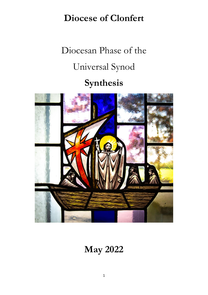## **Diocese of Clonfert**

# Diocesan Phase of the Universal Synod **Synthesis**



## **May 2022**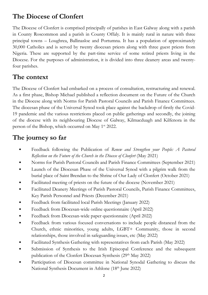## **The Diocese of Clonfert**

The Diocese of Clonfert is comprised principally of parishes in East Galway along with a parish in County Roscommon and a parish in County Offaly. It is mainly rural in nature with three principal towns – Loughrea, Ballinasloe and Portumna. It has a population of approximately 30,000 Catholics and is served by twenty diocesan priests along with three guest priests from Nigeria. These are supported by the part-time service of some retired priests living in the Diocese. For the purposes of administration, it is divided into three deanery areas and twentyfour parishes.

## **The context**

The Diocese of Clonfert had embarked on a process of consultation, restructuring and renewal. As a first phase, Bishop Michael published a reflection document on the Future of the Church in the Diocese along with Norms for Parish Pastoral Councils and Parish Finance Committees. The diocesan phase of the Universal Synod took place against the backdrop of firstly the Covid-19 pandemic and the various restrictions placed on public gatherings and secondly, the joining of the diocese with its neighbouring Diocese of Galway, Kilmacduagh and Kilfenora in the person of the Bishop, which occurred on May 1<sup>st</sup> 2022.

## **The journey so far**

- Feedback following the Publication of *Renew and Strengthen your People: A Pastoral Reflection on the Future of the Church in the Diocese of Clonfert* (May 2021)
- Norms for Parish Pastoral Councils and Parish Finance Committees (September 2021)
- Launch of the Diocesan Phase of the Universal Synod with a pilgrim walk from the burial place of Saint Brendan to the Shrine of Our Lady of Clonfert (October 2021)
- Facilitated meeting of priests on the future of the diocese (November 2021)
- Facilitated Deanery Meetings of Parish Pastoral Councils, Parish Finance Committees, Key Parish Personnel and Priests (December 2021)
- Feedback from facilitated local Parish Meetings (January 2022)
- Feedback from Diocesan-wide online questionnaire (April 2022)
- Feedback from Diocesan-wide paper questionnaire (April 2022)
- Feedback from various focused conversations to include people distanced from the Church, ethnic minorities, young adults, LGBT+ Community, those in second relationships, those involved in safeguarding issues, etc (May 2022)
- Facilitated Synthesis Gathering with representatives from each Parish (May 2022)
- Submission of Synthesis to the Irish Episcopal Conference and the subsequent publication of the Clonfert Diocesan Synthesis (29<sup>th</sup> May 2022)
- Participation of Diocesan committee in National Synodal Gathering to discuss the National Synthesis Document in Athlone (18<sup>th</sup> June 2022)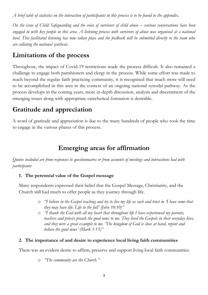*A brief table of statistics on the interaction of participants in this process is to be found in the appendix.*

*On the issue of Child Safeguarding and the voice of survivors of child abuse – various conversations have been engaged in with key people in this area. A listening process with survivors of abuse was organised at a national level. This facilitated listening has now taken place and the feedback will be submitted directly to the team who are collating the national synthesis.*

## **Limitations of the process**

Throughout, the impact of Covid-19 restrictions made the process difficult. It also remained a challenge to engage both parishioners and clergy in the process. While some effort was made to reach beyond the regular faith practicing community, it is recognised that much more will need to be accomplished in this area in the context of an ongoing national synodal pathway. As the process develops in the coming years, more in-depth discussion, analysis and discernment of the emerging issues along with appropriate catechetical formation is desirable.

## **Gratitude and appreciation**

A word of gratitude and appreciation is due to the many hundreds of people who took the time to engage in the various phases of this process.

## **Emerging areas for affirmation**

*Quotes included are from responses to questionnaires or from accounts of meetings and interactions had with participants*

#### **1. The perennial value of the Gospel message**

Many respondents expressed their belief that the Gospel Message, Christianity, and the Church still had much to offer people as they journey through life.

- o *"I believe in the Gospel teaching and try to live my life as such and trust in 'I have come that they may have life. Life to the full' (John 10:10)"*
- o *"I thank the God with all my heart that throughout life I have experienced my parents, teachers and priests preach the good news to me. They lived the Gospels in their everyday lives, and they were a great example to me. 'The kingdom of God is close at hand, repent and believe the good news' (Mark 1:15)"*

#### **2. The importance of and desire to experience local living faith communities**

There was an evident desire to affirm, preserve and support living local faith communities.

o *"The community are the Church."*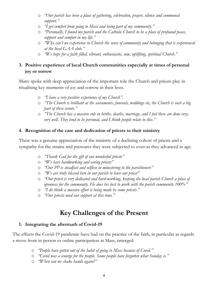- o *"Our parish has been a place of gathering, celebration, prayer, silence and communal support."*
- o *"I get comfort from going to Mass and being part of my community."*
- o *"Personally, I found my parish and the Catholic Church to be a place of profound peace, support and comfort in my life."*
- o *"Why can't we experience in Church the sense of community and belonging that is experienced at the local GAA club."*
- o *"We hope for a faith filled, vibrant, enthusiastic, new, uplifting, spiritual Church."*

#### **3. Positive experience of local Church communities especially at times of personal joy or sorrow**

Many spoke with deep appreciation of the important role the Church and priests play in ritualising key moments of joy and sorrow in their lives.

- o *"I have a very positive experience of my Church".*
- o *"The Church is brilliant at the sacraments, funerals, weddings etc, the Church is such a big part of these events."*
- o *"The Church has a massive role in births, deaths, marriage, and I feel these are done very, very well. They tend to be personal, and I think people relate to this."*

#### **4. Recognition of the care and dedication of priests to their ministry**

There was a genuine appreciation of the ministry of a declining cohort of priests and a sympathy for the strains and pressures they were subjected to even as they advanced in age.

- o *"Thank God for the gift of our wonderful priests"*
- o *"We have hardworking and caring priests"*
- o *"Our PP is steadfast and selfless in ministering to the parishioners"*
- o *"We are truly blessed here in our parish to have our priest"*
- o *"Our priest is very dedicated and hard-working, keeping the local parish Church a place of openness for the community. He does his best to work with the parish community 100%"*
- o *"I do think a massive effort is being made by some priests."*
- o *"Our priests need our support at this time."*

## **Key Challenges of the Present**

#### **1. Integrating the aftermath of Covid-19**

The effects the Covid-19 pandemic have had on the practice of the faith, in particular as regards a move from in person to online participation at Mass, emerged.

- o *"People have gotten out of the habit of going to Mass because of Covid."*
- o *"Covid was a scourge for the people. Some people have forgotten what Sunday is."*
- o *"When can we shake hands again?"*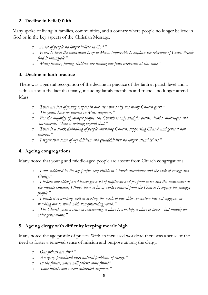#### **2. Decline in belief/faith**

Many spoke of living in families, communities, and a country where people no longer believe in God or in the key aspects of the Christian Message.

- o *"A lot of people no longer believe in God."*
- o *"Hard to keep the motivation to go to Mass. Impossible to explain the relevance of Faith. People find it intangible."*
- o *"Many friends, family, children are finding our faith irrelevant at this time."*

#### **3. Decline in faith practice**

There was a general recognition of the decline in practice of the faith at parish level and a sadness about the fact that many, including family members and friends, no longer attend Mass.

- o *"There are lots of young couples in our area but sadly not many Church goers."*
- o *"The youth have no interest in Mass anymore."*
- o *"For the majority of younger people, the Church is only used for births, deaths, marriages and Sacraments. There is nothing beyond that."*
- o *"There is a stark dwindling of people attending Church, supporting Church and general non interest."*
- o *"I regret that some of my children and grandchildren no longer attend Mass."*

#### **4. Ageing congregations**

Many noted that young and middle-aged people are absent from Church congregations.

- o *"I am saddened by the age profile very visible in Church attendance and the lack of energy and vitality."*
- o *"I believe our older parishioners get a lot of fulfilment and joy from mass and the sacraments at the minute however, I think there is lot of work required from the Church to engage the younger people."*
- o *"I think it is working well at meeting the needs of our older generation but not engaging or reaching out so much with non-practicing youth."*
- o *"The Church gives a sense of community, a place to worship, a place of peace - but mainly for older generations."*

#### **5. Ageing clergy with difficulty keeping morale high**

Many noted the age profile of priests. With an increased workload there was a sense of the need to foster a renewed sense of mission and purpose among the clergy.

- o *"Our priests are tired."*
- o *"An aging priesthood faces natural problems of energy."*
- o *"In the future, where will priests come from?"*
- o *"Some priests don't seem interested anymore."*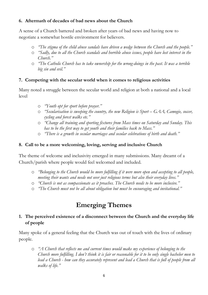#### **6. Aftermath of decades of bad news about the Church**

A sense of a Church battered and broken after years of bad news and having now to negotiate a somewhat hostile environment for believers.

- o *"The stigma of the child abuse sandals have driven a wedge between the Church and the people."*
- o *"Sadly, due to all the Church scandals and horrible abuse issues, people have lost interest in the Church."*
- o *"The Catholic Church has to take ownership for the wrong-doings in the past. It was a terrible big sin and evil."*

#### **7. Competing with the secular world when it comes to religious activities**

Many noted a struggle between the secular world and religion at both a national and a local level

- o *"Youth opt for sport before prayer."*
- o *"Secularisation is sweeping the country, the new Religion is Sport – GAA, Camogie, soccer, cycling and forest walks etc."*
- o *"Change all training and sporting fixtures from Mass times on Saturday and Sunday. This has to be the first way to get youth and their families back to Mass."*
- o *"There is a growth in secular marriages and secular celebrations of birth and death."*

#### **8. Call to be a more welcoming, loving, serving and inclusive Church**

The theme of welcome and inclusivity emerged in many submissions. Many dreamt of a Church/parish where people would feel welcomed and included.

- o *"Belonging to the Church would be more fulfilling if it were more open and accepting to all people, meeting their wants and needs not over just religious terms but also their everyday lives."*
- o *"Church is not as compassionate as it preaches. The Church needs to be more inclusive."*
- o *"The Church must not be all about obligation but must be encouraging and invitational."*

## **Emerging Themes**

#### **1. The perceived existence of a disconnect between the Church and the everyday life of people**

Many spoke of a general feeling that the Church was out of touch with the lives of ordinary people.

o *"A Church that reflects me and current times would make my experience of belonging to the Church more fulfilling. I don't think it is fair or reasonable for it to be only single bachelor men to lead a Church - how can they accurately represent and lead a Church that is full of people from all walks of life."*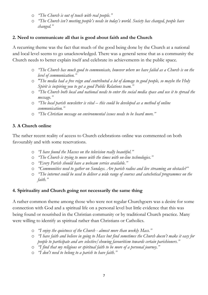- o *"The Church is out of touch with real people."*
- o *"The Church isn't meeting people's needs in today's world. Society has changed, people have changed."*

#### **2. Need to communicate all that is good about faith and the Church**

A recurring theme was the fact that much of the good being done by the Church at a national and local level seems to go unacknowledged. There was a general sense that as a community the Church needs to better explain itself and celebrate its achievements in the public space.

- o *"The Church has much good to communicate, however where we have failed as a Church is on the level of communication."*
- o *"The media had a free reign and contributed a lot of damage to good people, so maybe the Holy Spirit is inspiring you to get a good Public Relations team."*
- o *"The Church both local and national needs to enter the social media space and use it to spread the message."*
- o *"The local parish newsletter is vital – this could be developed as a method of online communication."*
- o *"The Christian message on environmental issues needs to be heard more."*

#### **3. A Church online**

The rather recent reality of access to Church celebrations online was commented on both favourably and with some reservations.

- o *"I have found the Masses on the television really beautiful."*
- o *"The Church is trying to move with the times with on-line technologies."*
- o *"Every Parish should have a webcam service available."*
- o *"Communities need to gather on Sundays. Are parish radios and live streaming an obstacle?"*
- o *"The internet could be used to deliver a wide range of courses and catechetical programmes on the faith."*

#### **4. Spirituality and Church going not necessarily the same thing**

A rather common theme among those who were not regular Churchgoers was a desire for some connection with God and a spiritual life on a personal level but little evidence that this was being found or nourished in the Christian community or by traditional Church practice. Many were willing to identify as spiritual rather than Christians or Catholics.

- o *"I enjoy the quietness of the Church - almost more than weekly Mass."*
- o *"I have faith and believe in going to Mass but find sometimes the Church doesn't make it easy for people to participate and are selective/showing favouritism towards certain parishioners."*
- o *"I find that my religious or spiritual faith to be more of a personal journey."*
- o *"I don't need to belong to a parish to have faith."*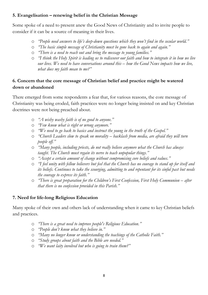#### **5. Evangelisation – renewing belief in the Christian Message**

Some spoke of a need to present anew the Good News of Christianity and to invite people to consider if it can be a source of meaning in their lives.

- o *"People need answers to life's deep-down questions which they won't find in the secular world."*
- o *"The basic simple message of Christianity must be gone back to again and again."*
- o *"There is a need to reach out and bring the message to young families."*
- o *"I think the Holy Spirit is leading us to rediscover our faith and how to integrate it in how we live our lives. We need to have conversations around this – how the Good News impacts how we live, what does my faith mean to me?"*

#### **6. Concern that the core message of Christian belief and practice might be watered down or abandoned**

There emerged from some respondents a fear that, for various reasons, the core message of Christianity was being eroded, faith practices were no longer being insisted on and key Christian doctrines were not being preached about.

- o *"A wishy washy faith is of no good to anyone."*
- o *"Few know what is right or wrong anymore."*
- o *"We need to go back to basics and instruct the young in the truth of the Gospel."*
- o *"Church Leaders slow to speak on morality – backlash from media, are afraid they will turn people off."*
- o *"Many people, including priests, do not really believe anymore what the Church has always taught. The Church must regain its nerve to teach unpopular things."*
- o *"Accept a certain amount of change without compromising core beliefs and values."*
- o *"I feel unity with fellow believers but feel that the Church has no courage to stand up for itself and its beliefs. Continues to take the scourging, admitting to and repentant for its sinful past but needs the courage to express its faith."*
- o *"There is great preparation for the Children's First Confession, First Holy Communion – after that there is no confession provided in this Parish."*

#### **7. Need for life-long Religious Education**

Many spoke of their own and others lack of understanding when it came to key Christian beliefs and practices.

- o *"There is a great need to improve people's Religious Education."*
- o *"People don't know what they believe in."*
- o *"Many no longer know or understanding the teachings of the Catholic Faith."*
- o *"Study groups about faith and the Bible are needed."*
- o *"We want laity involved but who is going to train them?"*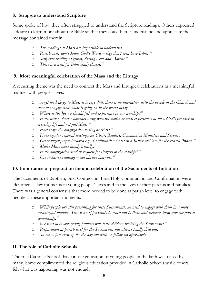#### **8. Struggle to understand Scripture**

Some spoke of how they often struggled to understand the Scripture readings. Others expressed a desire to learn more about the Bible so that they could better understand and appreciate the message contained therein.

- o *"The readings at Mass are impossible to understand."*
- o *"Parishioners don't know God's Word – they don't even have Bibles."*
- o *"Scripture reading (a group) during Lent and Advent."*
- o *"There is a need for Bible study classes."*

#### **9. More meaningful celebration of the Mass and the Liturgy**

A recurring theme was the need to connect the Mass and Liturgical celebrations in a meaningful manner with people's lives.

- o *"Anytime I do go to Mass it is very dull, there is no interaction with the people in the Church and does not engage with what is going on in the world today."*
- o *"Where is the Joy we should feel and experience in our worship?"*
- o *"Have better, shorter homilies using relevant stories or local experiences to show God's presence in everyday life and not just Mass."*
- o *"Encourage the congregation to sing at Mass."*
- o *"Have regular renewal meetings for Choir, Readers, Communion Ministers and Servers."*
- o *"Get younger people involved e.g., Confirmation Class in a Justice or Care for the Earth Project."*
- o *"Make Mass more family friendly."*
- o *"Have congregation send in request for Prayers of the Faithful."*
- o *"Use inclusive readings – not always him/his."*

#### **10. Importance of preparation for and celebration of the Sacraments of Initiation**

The Sacraments of Baptism, First Confession, First Holy Communion and Confirmation were identified as key moments in young people's lives and in the lives of their parents and families. There was a general consensus that more needed to be done at parish level to engage with people at these important moments.

- o *"While people are still presenting for these Sacraments, we need to engage with them in a more meaningful manner. This is an opportunity to reach out to them and welcome them into the parish community."*
- o *"We need to involve young families who have children receiving the Sacraments."*
- o *"Preparation at parish level for the Sacraments has almost totally died out."*
- o *"So many just turn up for the day out with no follow up afterwards."*

#### **11. The role of Catholic Schools**

The role Catholic Schools have in the education of young people in the faith was raised by many. Some complimented the religious education provided in Catholic Schools while others felt what was happening was not enough.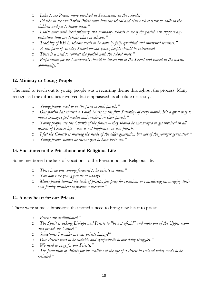- o *"Like to see Priests more involved in Sacraments in the schools."*
- o *"I'd like to see our Parish Priest come into the school and visit each classroom, talk to the children and get to know them."*
- o *"Liaise more with local primary and secondary schools to see if the parish can support any initiatives that are taking place in schools."*
- o *"Teaching of RE in schools needs to be done by fully qualified and interested teachers."*
- o *"A fun form of Sunday School for our young people should be introduced."*
- o *"There is a need to connect the parish with the school more."*
- o *"Preparation for the Sacraments should be taken out of the School and rooted in the parish community."*

#### **12. Ministry to Young People**

The need to reach out to young people was a recurring theme throughout the process. Many recognised the difficulties involved but emphasised its absolute necessity.

- o *"Young people need to be the focus of each parish."*
- o *"Our parish has started a Youth Mass on the first Saturday of every month. It's a great way to make teenagers feel needed and involved in their parish."*
- o *"Young people are the Church of the future – they should be encouraged to get involved in all aspects of Church life – this is not happening in this parish."*
- o *"I feel the Church is meeting the needs of the older generation but not of the younger generation."*
- o *"Young people should be encouraged to have their say."*

#### **13. Vocations to the Priesthood and Religious Life**

Some mentioned the lack of vocations to the Priesthood and Religious life.

- o *"There is no one coming forward to be priests or nuns."*
- o *"You don't see young priests nowadays."*
- o *"Many people lament the lack of priests, few pray for vocations or considering encouraging their own family members to pursue a vocation."*

#### **14. A new heart for our Priests**

There were some submissions that noted a need to bring new heart to priests.

- o *"Priests are disillusioned."*
- o *"The Spirit is asking Bishops and Priests to "be not afraid" and move out of the Upper room and preach the Gospel."*
- o *"Sometimes I wonder are our priests happy?"*
- o *"Our Priests need to be sociable and sympathetic to our daily struggles."*
- o *"We need to pray for our Priests."*
- o *"The formation of Priests for the realities of the life of a Priest in Ireland today needs to be revisited."*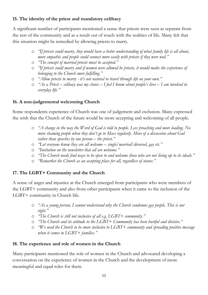#### **15. The identity of the priest and mandatory celibacy**

A significant number of participants mentioned a sense that priests were seen as separate from the rest of the community and as a result out of touch with the realities of life. Many felt that this situation might be remedied by allowing priests to marry.

- o *"If priests could marry, they would have a better understanding of what family life is all about, more empathic and people could connect more easily with priests if they were wed."*
- o *"The concept of married priests must be accepted."*
- o *"If priests could marry and if women were allowed be priests, it would make the experience of belonging to the Church more fulfilling."*
- o *"Allow priests to marry - it's not natural to travel through life on your own."*
- o *"As a Priest – celibacy was my choice – I feel I know about people's lives – I am involved in everyday life."*

#### **16. A non-judgemental welcoming Church**

Some respondents experience of Church was one of judgement and exclusion. Many expressed the wish that the Church of the future would be more accepting and welcoming of all people.

- o *"A change in the way the Word of God is told to people. Less preaching and more leading. No more shaming people when they don't go to Mass regularly. More of a discussion about God rather than speeches by one person – the priest."*
- o *"Let everyone know they are all welcome – single/married/divorced, gay etc."*
- o *"Invitation on the newsletter that all are welcome."*
- o *"The Church needs find ways to be open to and welcome those who are not living up to its ideals."*
- o *"Remarket the Church as an accepting place for all, regardless of stance."*

#### **17. The LGBT+ Community and the Church**

A sense of anger and injustice at the Church emerged from participants who were members of the LGBT+ community and also from other participants when it came to the inclusion of the LGBT+ community in Church life.

- o *"As a young person, I cannot understand why the Church condemns gay people. This is not right."*
- o *"The Church is still not inclusive of all e.g. LGBT+ community."*
- o *"The Church and its attitude to the LGBT+ Community has been hurtful and divisive."*
- o *"We need the Church to be more inclusive to LGBT+ community and spreading positive message when it comes to LGBT+ families."*

#### **18. The experience and role of women in the Church**

Many participants mentioned the role of women in the Church and advocated developing a conversation on the experience of women in the Church and the development of more meaningful and equal roles for them.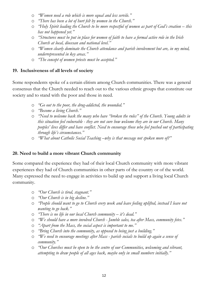- o *"Women need a role which is more equal and less servile."*
- o *"There has been a lot of hurt felt by women in the Church."*
- o *"Holy Spirit leading the Church to be more respectful of women as part of God's creation – this has not happened yet."*
- o *"Structures must be put in place for women of faith to have a formal active role in the Irish Church at local, diocesan and national level."*
- o *"Women clearly dominate the Church attendance and parish involvement but are, in my mind, underrepresented in key areas."*
- o *"The concept of women priests must be accepted."*

#### **19. Inclusiveness of all levels of society**

Some respondents spoke of a certain elitism among Church communities. There was a general consensus that the Church needed to reach out to the various ethnic groups that constitute our society and to stand with the poor and those in need.

- o *"Go out to the poor, the drug-addicted, the wounded."*
- o *"Become a living Church."*
- o *"Need to welcome back the many who have "broken the rules" of the Church. Young adults in this situation feel vulnerable - they are not sure how welcome they are in our Church. Many peoples' lives differ and have conflict. Need to encourage those who feel pushed out of participating through life's circumstances."*
- o *"What about Catholic Social Teaching –why is that message not spoken more of?"*

#### **20. Need to build a more vibrant Church community**

Some compared the experience they had of their local Church community with more vibrant experiences they had of Church communities in other parts of the country or of the world. Many expressed the need to engage in activities to build up and support a living local Church community.

- o *"Our Church is tired, stagnant."*
- o *"Our Church is in big decline."*
- o *"People should want to go to Church every week and leave feeling uplifted, instead I leave not wanting to go back."*
- o *"There is no life in our local Church community – it's dead."*
- o *"We should have a more involved Church - Jumble sales, tea after Mass, community fetes."*
- o *"Apart from the Mass, the social aspect is important to me."*
- o *"Bring Church into the community, as opposed to being just a building."*
- o *"We need to encourage meetings after Mass - parish socials to build up again a sense of community."*
- o *"Our Churches must be open to be the centre of our Communities, welcoming and vibrant, attempting to draw people of all ages back, maybe only in small numbers initially."*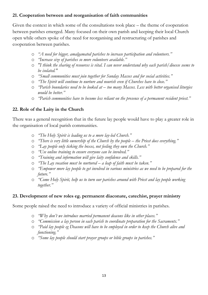#### **21. Cooperation between and reorganisation of faith communities**

Given the context in which some of the consultations took place – the theme of cooperation between parishes emerged. Many focused on their own parish and keeping their local Church open while others spoke of the need for reorganising and restructuring of parishes and cooperation between parishes.

- o *"A need for bigger, amalgamated parishes to increase participation and volunteers."*
- o *"Increase size of parishes so more volunteers available."*
- o *"I think the sharing of resources is vital. I can never understand why each parish/diocese seems to be isolated."*
- o *"Small communities must join together for Sunday Masses and for social activities."*
- o *"The Spirit will continue to nurture and nourish even if Churches have to close."*
- o *"Parish boundaries need to be looked at – too many Masses. Less with better organised liturgies would be better."*
- o *"Parish communities have to become less reliant on the presence of a permanent resident priest."*

#### **22. Role of the Laity in the Church**

There was a general recognition that in the future lay people would have to play a greater role in the organisation of local parish communities.

- o *"The Holy Spirit is leading us to a more lay-led Church."*
- o *"There is very little ownership of the Church by the people – the Priest does everything."*
- o *"Lay people only ticking the boxes, not feeling they own the Church."*
- o *"Use online training to ensure everyone can be involved."*
- o *"Training and information will give laity confidence and skills."*
- o *"The Lay vocation must be nurtured – a leap of faith must be taken."*
- o *"Empower more lay people to get involved in various ministries as we need to be prepared for the future."*
- o *"Come Holy Spirit, help us to turn our parishes around with Priest and lay people working together."*

#### **23. Development of new roles eg. permanent diaconate, catechist, prayer ministry**

Some people raised the need to introduce a variety of official ministries in parishes.

- o *"Why don't we introduce married permanent deacons like in other places."*
- o *"Commission a lay person in each parish to coordinate preparation for the Sacraments."*
- o *"Paid lay people eg Deacons will have to be employed in order to keep the Church alive and functioning."*
- o *"Some lay people should start prayer groups or bible groups in parishes."*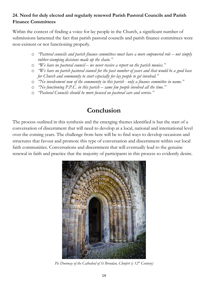#### **24. Need for duly elected and regularly renewed Parish Pastoral Councils and Parish Finance Committees**

Within the context of finding a voice for lay people in the Church, a significant number of submissions lamented the fact that parish pastoral councils and parish finance committees were non-existent or not functioning properly.

- o *"Pastoral councils and parish finance committees must have a more empowered role – not simply rubber-stamping decisions made up the chain."*
- o *"We have no pastoral council – we never receive a report on the parish monies."*
- o *"We have no parish pastoral council for the past number of years and that would be a good base for Church and community to start especially for lay people to get involved."*
- o *"No involvement now of the community in this parish - only a finance committee in name."*
- o *"No functioning P.P.C. in this parish – same few people involved all the time."*
- o *"Pastoral Councils should be more focused on pastoral care and service."*

## **Conclusion**

The process outlined in this synthesis and the emerging themes identified is but the start of a conversation of discernment that will need to develop at a local, national and international level over the coming years. The challenge from here will be to find ways to develop occasions and structures that favour and promote this type of conversation and discernment within our local faith communities. Conversations and discernment that will eventually lead to the genuine renewal in faith and practice that the majority of participants in this process so evidently desire.



*Pic Doorway of the Cathedral of St Brendan, Clonfert (c 12<sup>th</sup> Century)*